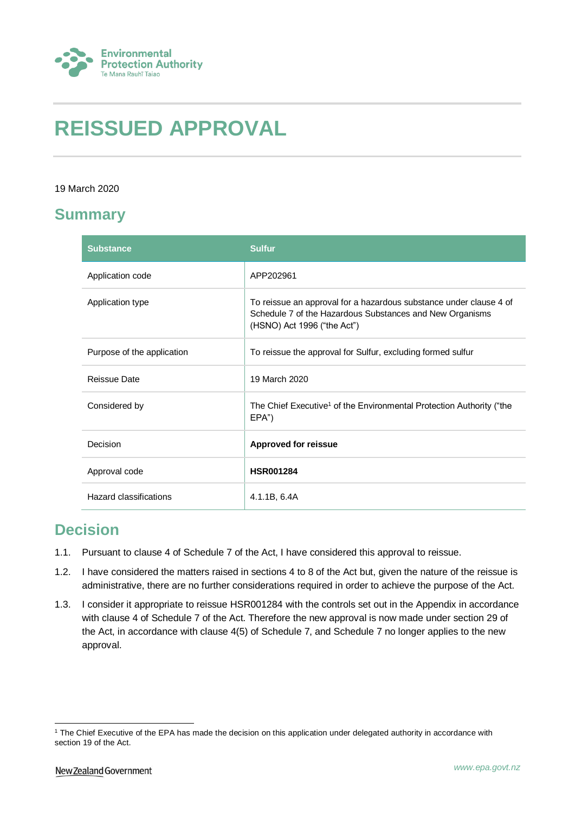

# **REISSUED APPROVAL**

### 19 March 2020

### **Summary**

| <b>Substance</b>           | <b>Sulfur</b>                                                                                                                                                 |
|----------------------------|---------------------------------------------------------------------------------------------------------------------------------------------------------------|
| Application code           | APP202961                                                                                                                                                     |
| Application type           | To reissue an approval for a hazardous substance under clause 4 of<br>Schedule 7 of the Hazardous Substances and New Organisms<br>(HSNO) Act 1996 ("the Act") |
| Purpose of the application | To reissue the approval for Sulfur, excluding formed sulfur                                                                                                   |
| Reissue Date               | 19 March 2020                                                                                                                                                 |
| Considered by              | The Chief Executive <sup>1</sup> of the Environmental Protection Authority ("the<br>EPA")                                                                     |
| Decision                   | <b>Approved for reissue</b>                                                                                                                                   |
| Approval code              | <b>HSR001284</b>                                                                                                                                              |
| Hazard classifications     | 4.1.1B, 6.4A                                                                                                                                                  |

## **Decision**

- 1.1. Pursuant to clause 4 of Schedule 7 of the Act, I have considered this approval to reissue.
- 1.2. I have considered the matters raised in sections 4 to 8 of the Act but, given the nature of the reissue is administrative, there are no further considerations required in order to achieve the purpose of the Act.
- 1.3. I consider it appropriate to reissue HSR001284 with the controls set out in the Appendix in accordance with clause 4 of Schedule 7 of the Act. Therefore the new approval is now made under section 29 of the Act, in accordance with clause 4(5) of Schedule 7, and Schedule 7 no longer applies to the new approval.

1

<sup>&</sup>lt;sup>1</sup> The Chief Executive of the EPA has made the decision on this application under delegated authority in accordance with section 19 of the Act.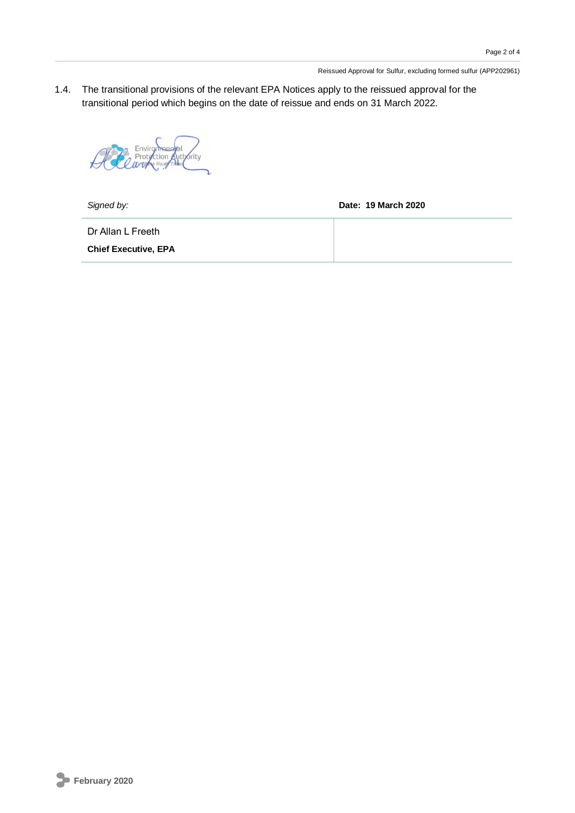Reissued Approval for Sulfur, excluding formed sulfur (APP202961)

1.4. The transitional provisions of the relevant EPA Notices apply to the reissued approval for the transitional period which begins on the date of reissue and ends on 31 March 2022.

Environmental<br>Protection Authority<br>Termine Raufration

*Signed by:* **Date: 19 March 2020**

Dr Allan L Freeth

**Chief Executive, EPA**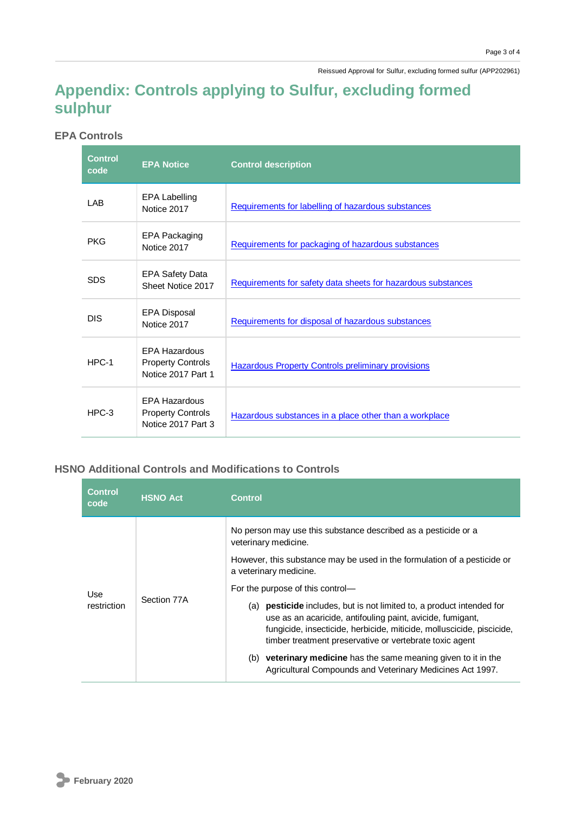# **Appendix: Controls applying to Sulfur, excluding formed sulphur**

### **EPA Controls**

| <b>Control</b><br>code | <b>EPA Notice</b>                                                      | <b>Control description</b>                                   |
|------------------------|------------------------------------------------------------------------|--------------------------------------------------------------|
| LAB                    | <b>EPA Labelling</b><br>Notice 2017                                    | Requirements for labelling of hazardous substances           |
| <b>PKG</b>             | EPA Packaging<br>Notice 2017                                           | Requirements for packaging of hazardous substances           |
| <b>SDS</b>             | <b>EPA Safety Data</b><br>Sheet Notice 2017                            | Requirements for safety data sheets for hazardous substances |
| <b>DIS</b>             | EPA Disposal<br>Notice 2017                                            | Requirements for disposal of hazardous substances            |
| $HPC-1$                | <b>EPA Hazardous</b><br><b>Property Controls</b><br>Notice 2017 Part 1 | <b>Hazardous Property Controls preliminary provisions</b>    |
| $HPC-3$                | <b>EPA Hazardous</b><br><b>Property Controls</b><br>Notice 2017 Part 3 | Hazardous substances in a place other than a workplace       |

### **HSNO Additional Controls and Modifications to Controls**

| Control<br>code    | <b>HSNO Act</b> | <b>Control</b>                                                                                                                                                                                                                                                                    |
|--------------------|-----------------|-----------------------------------------------------------------------------------------------------------------------------------------------------------------------------------------------------------------------------------------------------------------------------------|
| Use<br>restriction | Section 77A     | No person may use this substance described as a pesticide or a<br>veterinary medicine.<br>However, this substance may be used in the formulation of a pesticide or                                                                                                                |
|                    |                 | a veterinary medicine.                                                                                                                                                                                                                                                            |
|                    |                 | For the purpose of this control—                                                                                                                                                                                                                                                  |
|                    |                 | <b>pesticide</b> includes, but is not limited to, a product intended for<br>(a)<br>use as an acaricide, antifouling paint, avicide, fumigant,<br>fungicide, insecticide, herbicide, miticide, molluscicide, piscicide,<br>timber treatment preservative or vertebrate toxic agent |
|                    |                 | <b>veterinary medicine</b> has the same meaning given to it in the<br>(b)<br>Agricultural Compounds and Veterinary Medicines Act 1997.                                                                                                                                            |